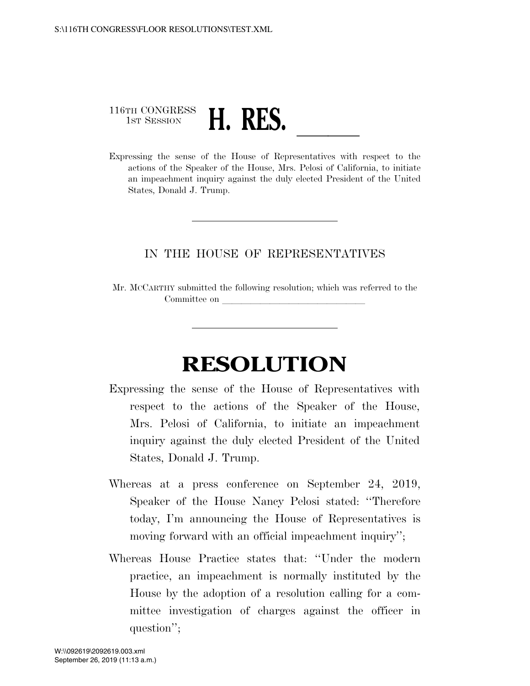## 116TH CONGRESS 1ST SESSION **H. RES.** <u>Leadence</u> Conservatives with respect to the Expressing the sense of the House of Representatives with respect to the

actions of the Speaker of the House, Mrs. Pelosi of California, to initiate an impeachment inquiry against the duly elected President of the United States, Donald J. Trump.

## IN THE HOUSE OF REPRESENTATIVES

Mr. MCCARTHY submitted the following resolution; which was referred to the Committee on

## **RESOLUTION**

- Expressing the sense of the House of Representatives with respect to the actions of the Speaker of the House, Mrs. Pelosi of California, to initiate an impeachment inquiry against the duly elected President of the United States, Donald J. Trump.
- Whereas at a press conference on September 24, 2019, Speaker of the House Nancy Pelosi stated: ''Therefore today, I'm announcing the House of Representatives is moving forward with an official impeachment inquiry'';
- Whereas House Practice states that: ''Under the modern practice, an impeachment is normally instituted by the House by the adoption of a resolution calling for a committee investigation of charges against the officer in question'';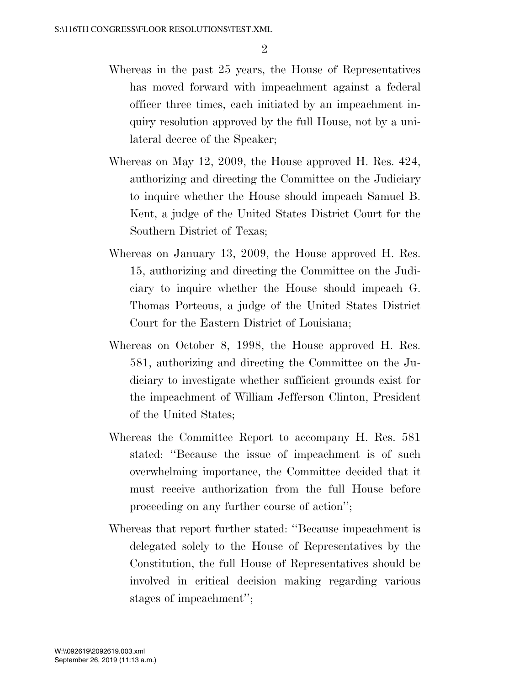- Whereas in the past 25 years, the House of Representatives has moved forward with impeachment against a federal officer three times, each initiated by an impeachment inquiry resolution approved by the full House, not by a unilateral decree of the Speaker;
- Whereas on May 12, 2009, the House approved H. Res. 424, authorizing and directing the Committee on the Judiciary to inquire whether the House should impeach Samuel B. Kent, a judge of the United States District Court for the Southern District of Texas;
- Whereas on January 13, 2009, the House approved H. Res. 15, authorizing and directing the Committee on the Judiciary to inquire whether the House should impeach G. Thomas Porteous, a judge of the United States District Court for the Eastern District of Louisiana;
- Whereas on October 8, 1998, the House approved H. Res. 581, authorizing and directing the Committee on the Judiciary to investigate whether sufficient grounds exist for the impeachment of William Jefferson Clinton, President of the United States;
- Whereas the Committee Report to accompany H. Res. 581 stated: ''Because the issue of impeachment is of such overwhelming importance, the Committee decided that it must receive authorization from the full House before proceeding on any further course of action'';
- Whereas that report further stated: ''Because impeachment is delegated solely to the House of Representatives by the Constitution, the full House of Representatives should be involved in critical decision making regarding various stages of impeachment'';